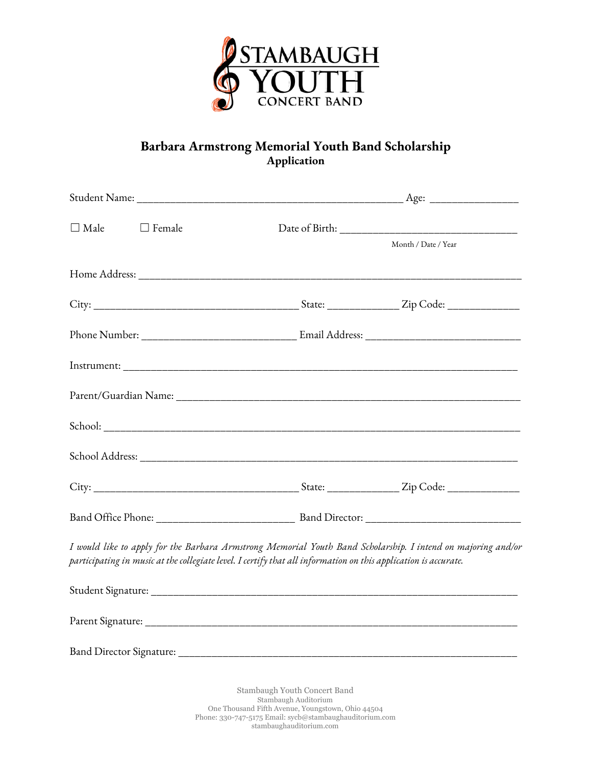

## **Barbara Armstrong Memorial Youth Band Scholarship Application**

| $\Box$ Male | $\Box$ Female |                                                                                                                 |                                                                                                              |
|-------------|---------------|-----------------------------------------------------------------------------------------------------------------|--------------------------------------------------------------------------------------------------------------|
|             |               |                                                                                                                 | Month / Date / Year                                                                                          |
|             |               |                                                                                                                 |                                                                                                              |
|             |               |                                                                                                                 |                                                                                                              |
|             |               |                                                                                                                 |                                                                                                              |
|             |               |                                                                                                                 |                                                                                                              |
|             |               |                                                                                                                 |                                                                                                              |
|             |               |                                                                                                                 |                                                                                                              |
|             |               |                                                                                                                 |                                                                                                              |
|             |               |                                                                                                                 |                                                                                                              |
|             |               |                                                                                                                 |                                                                                                              |
|             |               | participating in music at the collegiate level. I certify that all information on this application is accurate. | I would like to apply for the Barbara Armstrong Memorial Youth Band Scholarship. I intend on majoring and/or |
|             |               |                                                                                                                 |                                                                                                              |
|             |               |                                                                                                                 |                                                                                                              |
|             |               |                                                                                                                 |                                                                                                              |

Stambaugh Youth Concert Band Stambaugh Auditorium One Thousand Fifth Avenue, Youngstown, Ohio 44504 Phone: 330-747-5175 Email: sycb@stambaughauditorium.com stambaughauditorium.com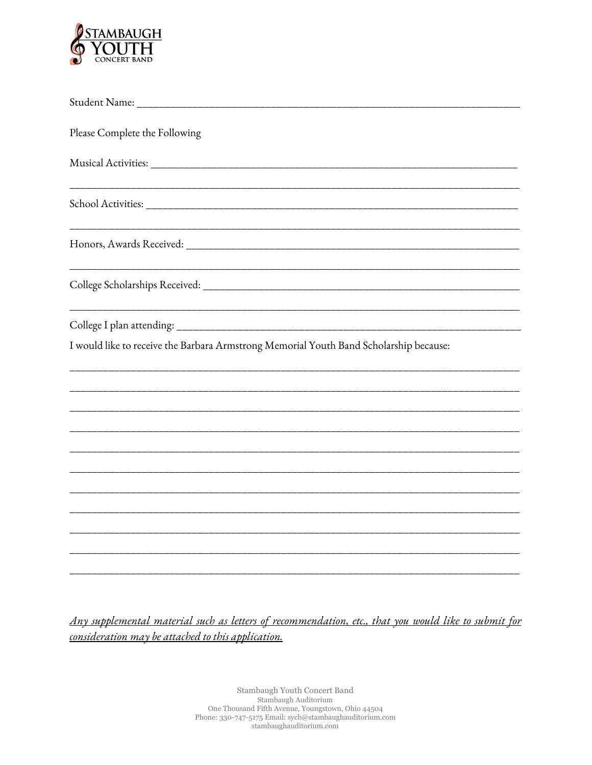

| Please Complete the Following                                                          |
|----------------------------------------------------------------------------------------|
|                                                                                        |
|                                                                                        |
|                                                                                        |
|                                                                                        |
|                                                                                        |
| I would like to receive the Barbara Armstrong Memorial Youth Band Scholarship because: |
|                                                                                        |
|                                                                                        |
|                                                                                        |
|                                                                                        |
|                                                                                        |
|                                                                                        |
|                                                                                        |

Any supplemental material such as letters of recommendation, etc., that you would like to submit for consideration may be attached to this application.